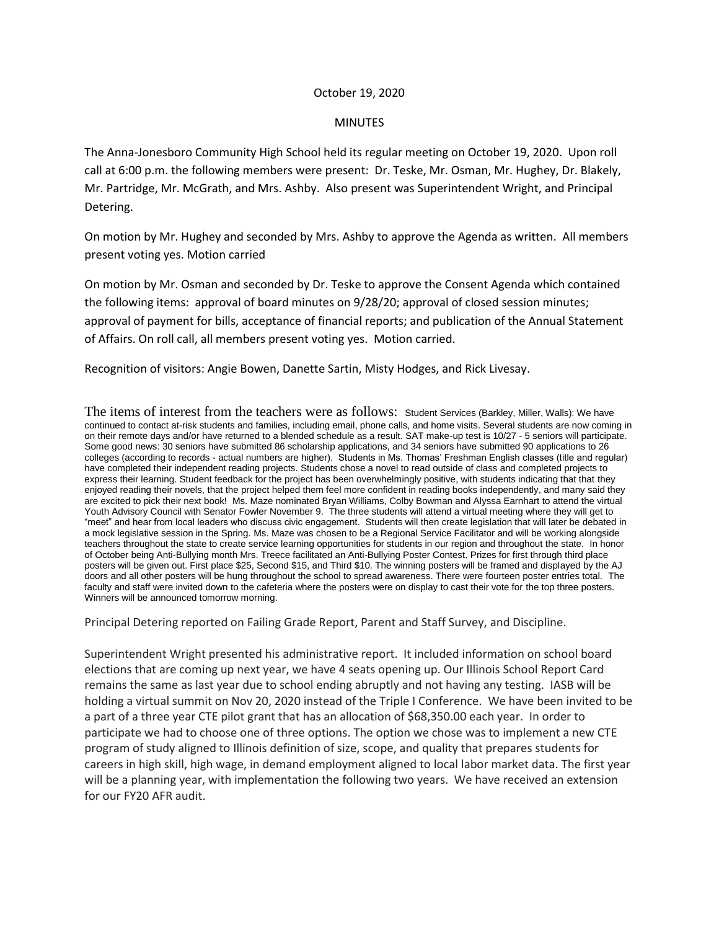## October 19, 2020

## MINUTES

The Anna-Jonesboro Community High School held its regular meeting on October 19, 2020. Upon roll call at 6:00 p.m. the following members were present: Dr. Teske, Mr. Osman, Mr. Hughey, Dr. Blakely, Mr. Partridge, Mr. McGrath, and Mrs. Ashby. Also present was Superintendent Wright, and Principal Detering.

On motion by Mr. Hughey and seconded by Mrs. Ashby to approve the Agenda as written. All members present voting yes. Motion carried

On motion by Mr. Osman and seconded by Dr. Teske to approve the Consent Agenda which contained the following items: approval of board minutes on 9/28/20; approval of closed session minutes; approval of payment for bills, acceptance of financial reports; and publication of the Annual Statement of Affairs. On roll call, all members present voting yes. Motion carried.

Recognition of visitors: Angie Bowen, Danette Sartin, Misty Hodges, and Rick Livesay.

The items of interest from the teachers were as follows: Student Services (Barkley, Miller, Walls): We have continued to contact at-risk students and families, including email, phone calls, and home visits. Several students are now coming in on their remote days and/or have returned to a blended schedule as a result. SAT make-up test is 10/27 - 5 seniors will participate. Some good news: 30 seniors have submitted 86 scholarship applications, and 34 seniors have submitted 90 applications to 26 colleges (according to records - actual numbers are higher). Students in Ms. Thomas' Freshman English classes (title and regular) have completed their independent reading projects. Students chose a novel to read outside of class and completed projects to express their learning. Student feedback for the project has been overwhelmingly positive, with students indicating that that they enjoyed reading their novels, that the project helped them feel more confident in reading books independently, and many said they are excited to pick their next book! Ms. Maze nominated Bryan Williams, Colby Bowman and Alyssa Earnhart to attend the virtual Youth Advisory Council with Senator Fowler November 9. The three students will attend a virtual meeting where they will get to "meet" and hear from local leaders who discuss civic engagement. Students will then create legislation that will later be debated in a mock legislative session in the Spring. Ms. Maze was chosen to be a Regional Service Facilitator and will be working alongside teachers throughout the state to create service learning opportunities for students in our region and throughout the state. In honor of October being Anti-Bullying month Mrs. Treece facilitated an Anti-Bullying Poster Contest. Prizes for first through third place posters will be given out. First place \$25, Second \$15, and Third \$10. The winning posters will be framed and displayed by the AJ doors and all other posters will be hung throughout the school to spread awareness. There were fourteen poster entries total. The faculty and staff were invited down to the cafeteria where the posters were on display to cast their vote for the top three posters. Winners will be announced tomorrow morning.

Principal Detering reported on Failing Grade Report, Parent and Staff Survey, and Discipline.

Superintendent Wright presented his administrative report. It included information on school board elections that are coming up next year, we have 4 seats opening up. Our Illinois School Report Card remains the same as last year due to school ending abruptly and not having any testing. IASB will be holding a virtual summit on Nov 20, 2020 instead of the Triple I Conference. We have been invited to be a part of a three year CTE pilot grant that has an allocation of \$68,350.00 each year. In order to participate we had to choose one of three options. The option we chose was to implement a new CTE program of study aligned to Illinois definition of size, scope, and quality that prepares students for careers in high skill, high wage, in demand employment aligned to local labor market data. The first year will be a planning year, with implementation the following two years. We have received an extension for our FY20 AFR audit.